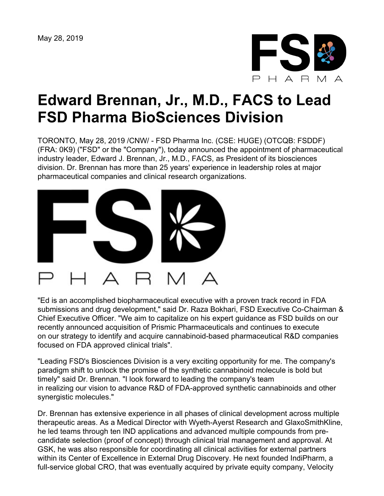May 28, 2019



## **Edward Brennan, Jr., M.D., FACS to Lead FSD Pharma BioSciences Division**

TORONTO, May 28, 2019 /CNW/ - FSD Pharma Inc. (CSE: HUGE) (OTCQB: FSDDF) (FRA: 0K9) ("FSD" or the "Company"), today announced the appointment of pharmaceutical industry leader, Edward J. Brennan, Jr., M.D., FACS, as President of its biosciences division. Dr. Brennan has more than 25 years' experience in leadership roles at major pharmaceutical companies and clinical research organizations.



"Ed is an accomplished biopharmaceutical executive with a proven track record in FDA submissions and drug development," said Dr. Raza Bokhari, FSD Executive Co-Chairman & Chief Executive Officer. "We aim to capitalize on his expert guidance as FSD builds on our recently announced acquisition of Prismic Pharmaceuticals and continues to execute on our strategy to identify and acquire cannabinoid-based pharmaceutical R&D companies focused on FDA approved clinical trials".

"Leading FSD's Biosciences Division is a very exciting opportunity for me. The company's paradigm shift to unlock the promise of the synthetic cannabinoid molecule is bold but timely" said Dr. Brennan. "I look forward to leading the company's team in realizing our vision to advance R&D of FDA-approved synthetic cannabinoids and other synergistic molecules."

Dr. Brennan has extensive experience in all phases of clinical development across multiple therapeutic areas. As a Medical Director with Wyeth-Ayerst Research and GlaxoSmithKline, he led teams through ten IND applications and advanced multiple compounds from precandidate selection (proof of concept) through clinical trial management and approval. At GSK, he was also responsible for coordinating all clinical activities for external partners within its Center of Excellence in External Drug Discovery. He next founded IndiPharm, a full-service global CRO, that was eventually acquired by private equity company, Velocity